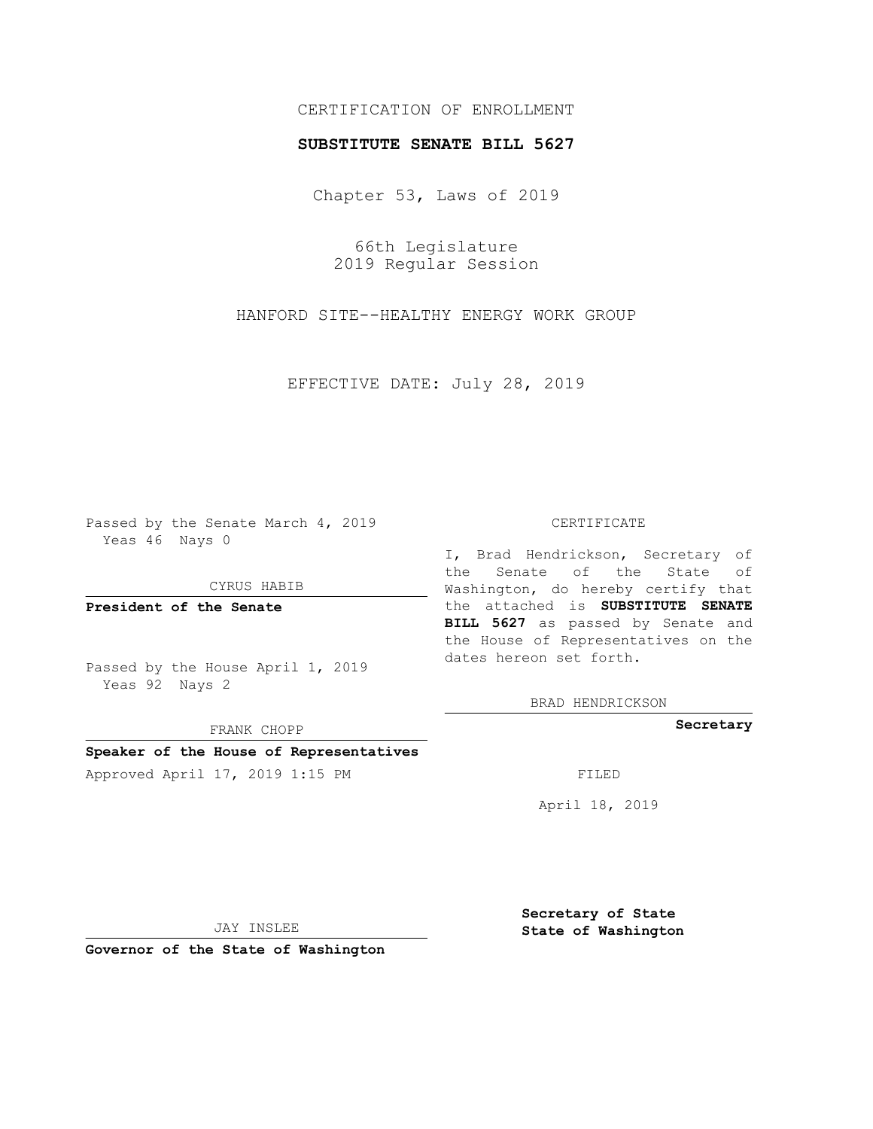# CERTIFICATION OF ENROLLMENT

### **SUBSTITUTE SENATE BILL 5627**

Chapter 53, Laws of 2019

66th Legislature 2019 Regular Session

HANFORD SITE--HEALTHY ENERGY WORK GROUP

EFFECTIVE DATE: July 28, 2019

Passed by the Senate March 4, 2019 Yeas 46 Nays 0

CYRUS HABIB

**President of the Senate**

Passed by the House April 1, 2019 Yeas 92 Nays 2

FRANK CHOPP

### **Speaker of the House of Representatives**

Approved April 17, 2019 1:15 PM FILED

#### CERTIFICATE

I, Brad Hendrickson, Secretary of the Senate of the State of Washington, do hereby certify that the attached is **SUBSTITUTE SENATE BILL 5627** as passed by Senate and the House of Representatives on the dates hereon set forth.

BRAD HENDRICKSON

**Secretary**

April 18, 2019

JAY INSLEE

**Governor of the State of Washington**

**Secretary of State State of Washington**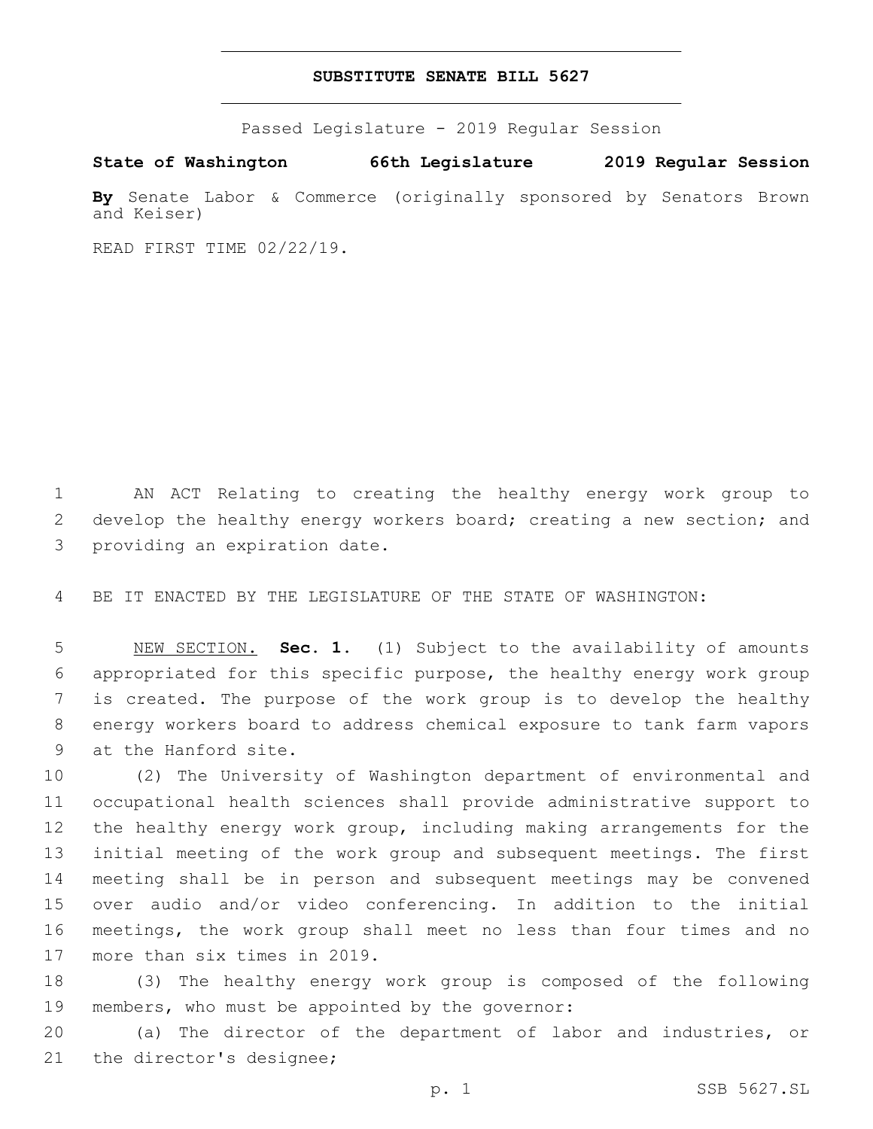## **SUBSTITUTE SENATE BILL 5627**

Passed Legislature - 2019 Regular Session

**State of Washington 66th Legislature 2019 Regular Session**

**By** Senate Labor & Commerce (originally sponsored by Senators Brown and Keiser)

READ FIRST TIME 02/22/19.

1 AN ACT Relating to creating the healthy energy work group to 2 develop the healthy energy workers board; creating a new section; and 3 providing an expiration date.

4 BE IT ENACTED BY THE LEGISLATURE OF THE STATE OF WASHINGTON:

 NEW SECTION. **Sec. 1.** (1) Subject to the availability of amounts appropriated for this specific purpose, the healthy energy work group is created. The purpose of the work group is to develop the healthy energy workers board to address chemical exposure to tank farm vapors at the Hanford site.

 (2) The University of Washington department of environmental and occupational health sciences shall provide administrative support to the healthy energy work group, including making arrangements for the initial meeting of the work group and subsequent meetings. The first meeting shall be in person and subsequent meetings may be convened over audio and/or video conferencing. In addition to the initial meetings, the work group shall meet no less than four times and no 17 more than six times in 2019.

18 (3) The healthy energy work group is composed of the following 19 members, who must be appointed by the governor:

20 (a) The director of the department of labor and industries, or 21 the director's designee;